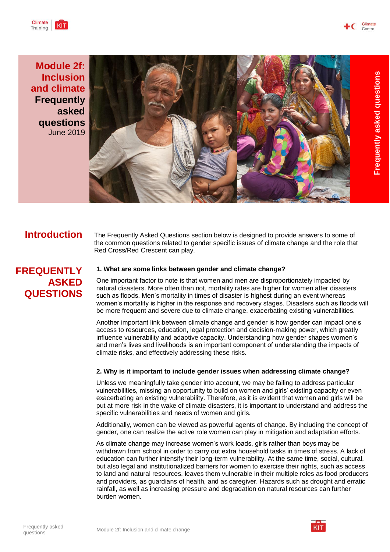**Frequently** 

**asked** 

**questions**



**Module 2f: Inclusion and climate Frequently asked questions** June 2019



**Introduction** The Frequently Asked Questions section below is designed to provide answers to some of the common questions related to gender specific issues of climate change and the role that Red Cross/Red Crescent can play.

# **FREQUENTLY ASKED QUESTIONS**

# **1. What are some links between gender and climate change?**

One important factor to note is that women and men are disproportionately impacted by natural disasters. More often than not, mortality rates are higher for women after disasters such as floods. Men's mortality in times of disaster is highest during an event whereas women's mortality is higher in the response and recovery stages. Disasters such as floods will be more frequent and severe due to climate change, exacerbating existing vulnerabilities.

Another important link between climate change and gender is how gender can impact one's access to resources, education, legal protection and decision-making power, which greatly influence vulnerability and adaptive capacity. Understanding how gender shapes women's and men's lives and livelihoods is an important component of understanding the impacts of climate risks, and effectively addressing these risks.

# **2. Why is it important to include gender issues when addressing climate change?**

Unless we meaningfully take gender into account, we may be failing to address particular vulnerabilities, missing an opportunity to build on women and girls' existing capacity or even exacerbating an existing vulnerability. Therefore, as it is evident that women and girls will be put at more risk in the wake of climate disasters, it is important to understand and address the specific vulnerabilities and needs of women and girls.

Additionally, women can be viewed as powerful agents of change. By including the concept of gender, one can realize the active role women can play in mitigation and adaptation efforts.

As climate change may increase women's work loads, girls rather than boys may be withdrawn from school in order to carry out extra household tasks in times of stress. A lack of education can further intensify their long-term vulnerability. At the same time, social, cultural, but also legal and institutionalized barriers for women to exercise their rights, such as access to land and natural resources, leaves them vulnerable in their multiple roles as food producers and providers, as guardians of health, and as caregiver. Hazards such as drought and erratic rainfall, as well as increasing pressure and degradation on natural resources can further burden women.

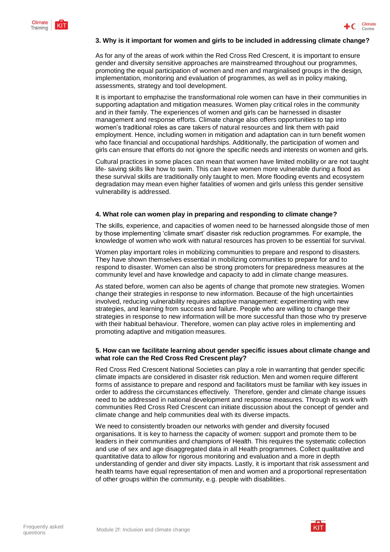



# **3. Why is it important for women and girls to be included in addressing climate change?**

As for any of the areas of work within the Red Cross Red Crescent, it is important to ensure gender and diversity sensitive approaches are mainstreamed throughout our programmes, promoting the equal participation of women and men and marginalised groups in the design, implementation, monitoring and evaluation of programmes, as well as in policy making, assessments, strategy and tool development.

It is important to emphazise the transformational role women can have in their communities in supporting adaptation and mitigation measures. Women play critical roles in the community and in their family. The experiences of women and girls can be harnessed in disaster management and response efforts. Climate change also offers opportunities to tap into women's traditional roles as care takers of natural resources and link them with paid employment. Hence, including women in mitigation and adaptation can in turn benefit women who face financial and occupational hardships. Additionally, the participation of women and girls can ensure that efforts do not ignore the specific needs and interests on women and girls.

Cultural practices in some places can mean that women have limited mobility or are not taught life- saving skills like how to swim. This can leave women more vulnerable during a flood as these survival skills are traditionally only taught to men. More flooding events and ecosystem degradation may mean even higher fatalities of women and girls unless this gender sensitive vulnerability is addressed.

# **4. What role can women play in preparing and responding to climate change?**

The skills, experience, and capacities of women need to be harnessed alongside those of men by those implementing 'climate smart' disaster risk reduction programmes. For example, the knowledge of women who work with natural resources has proven to be essential for survival.

Women play important roles in mobilizing communities to prepare and respond to disasters. They have shown themselves essential in mobilizing communities to prepare for and to respond to disaster. Women can also be strong promoters for preparedness measures at the community level and have knowledge and capacity to add in climate change measures.

As stated before, women can also be agents of change that promote new strategies. Women change their strategies in response to new information. Because of the high uncertainties involved, reducing vulnerability requires adaptive management: experimenting with new strategies, and learning from success and failure. People who are willing to change their strategies in response to new information will be more successful than those who try preserve with their habitual behaviour. Therefore, women can play active roles in implementing and promoting adaptive and mitigation measures.

# **5. How can we facilitate learning about gender specific issues about climate change and what role can the Red Cross Red Crescent play?**

Red Cross Red Crescent National Societies can play a role in warranting that gender specific climate impacts are considered in disaster risk reduction. Men and women require different forms of assistance to prepare and respond and facilitators must be familiar with key issues in order to address the circumstances effectively. Therefore, gender and climate change issues need to be addressed in national development and response measures. Through its work with communities Red Cross Red Crescent can initiate discussion about the concept of gender and climate change and help communities deal with its diverse impacts.

We need to consistently broaden our networks with gender and diversity focused organisations. It is key to harness the capacity of women: support and promote them to be leaders in their communities and champions of Health. This requires the systematic collection and use of sex and age disaggregated data in all Health programmes. Collect qualitative and quantitative data to allow for rigorous monitoring and evaluation and a more in depth understanding of gender and diver sity impacts. Lastly, it is important that risk assessment and health teams have equal representation of men and women and a proportional representation of other groups within the community, e.g. people with disabilities.